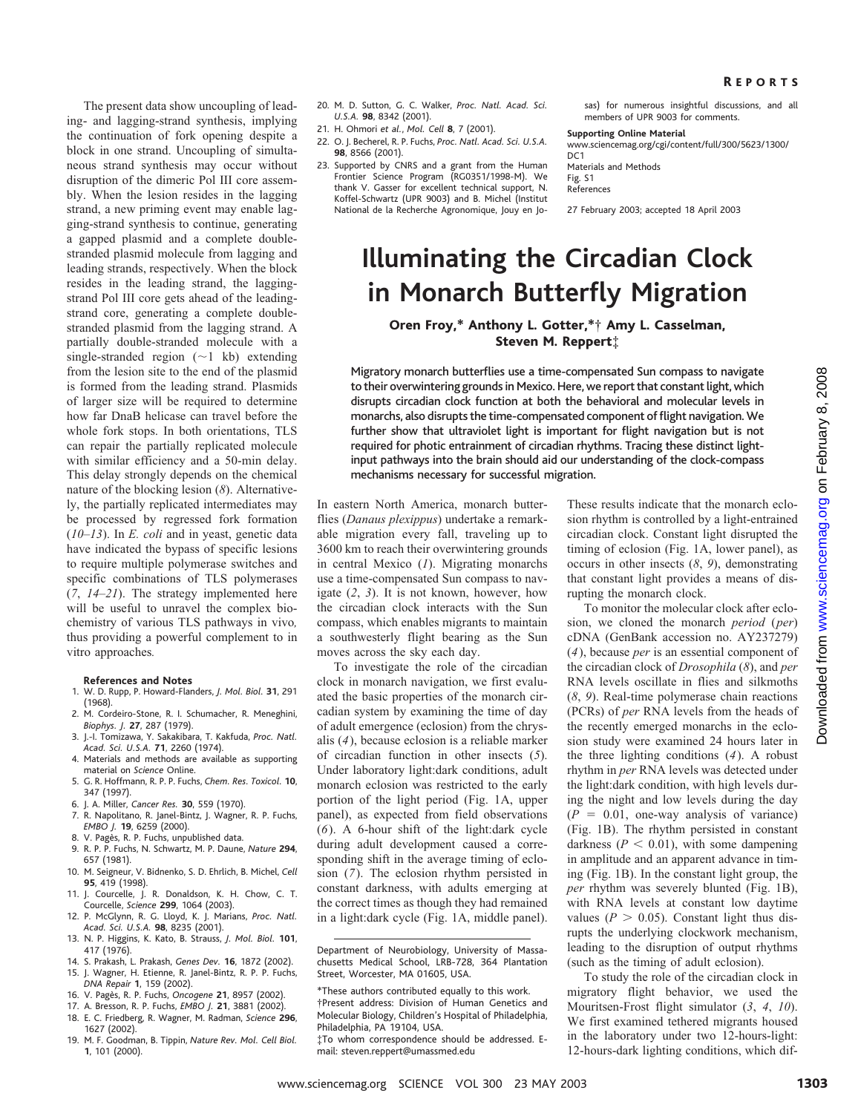The present data show uncoupling of leading- and lagging-strand synthesis, implying the continuation of fork opening despite a block in one strand. Uncoupling of simultaneous strand synthesis may occur without disruption of the dimeric Pol III core assembly. When the lesion resides in the lagging strand, a new priming event may enable lagging-strand synthesis to continue, generating a gapped plasmid and a complete doublestranded plasmid molecule from lagging and leading strands, respectively. When the block resides in the leading strand, the laggingstrand Pol III core gets ahead of the leadingstrand core, generating a complete doublestranded plasmid from the lagging strand. A partially double-stranded molecule with a single-stranded region  $(\sim 1 \text{ kb})$  extending from the lesion site to the end of the plasmid is formed from the leading strand. Plasmids of larger size will be required to determine how far DnaB helicase can travel before the whole fork stops. In both orientations, TLS can repair the partially replicated molecule with similar efficiency and a 50-min delay. This delay strongly depends on the chemical nature of the blocking lesion (*8*). Alternatively, the partially replicated intermediates may be processed by regressed fork formation (*10*–*13*). In *E. coli* and in yeast, genetic data have indicated the bypass of specific lesions to require multiple polymerase switches and specific combinations of TLS polymerases (*7*, *14*–*21*). The strategy implemented here will be useful to unravel the complex biochemistry of various TLS pathways in vivo*,* thus providing a powerful complement to in vitro approaches*.*

**References and Notes**

- 1. W. D. Rupp, P. Howard-Flanders, *J. Mol. Biol.* **31**, 291 (1968).
- 2. M. Cordeiro-Stone, R. I. Schumacher, R. Meneghini, *Biophys. J.* **27**, 287 (1979).
- 3. J.-I. Tomizawa, Y. Sakakibara, T. Kakfuda, *Proc. Natl. Acad. Sci. U.S.A.* **71**, 2260 (1974).
- 4. Materials and methods are available as supporting material on *Science* Online. 5. G. R. Hoffmann, R. P. P. Fuchs, *Chem. Res. Toxicol.* **10**,
- 347 (1997).
- 6. J. A. Miller, *Cancer Res.* **30**, 559 (1970).
- 7. R. Napolitano, R. Janel-Bintz, J. Wagner, R. P. Fuchs, *EMBO J.* **19**, 6259 (2000). 8. V. Pagès, R. P. Fuchs, unpublished data.
- 9. R. P. P. Fuchs, N. Schwartz, M. P. Daune, *Nature* **294**,
- 657 (1981).
- 10. M. Seigneur, V. Bidnenko, S. D. Ehrlich, B. Michel, *Cell* **95**, 419 (1998).
- 11. J. Courcelle, J. R. Donaldson, K. H. Chow, C. T. Courcelle, *Science* **299**, 1064 (2003).
- 12. P. McGlynn, R. G. Lloyd, K. J. Marians, *Proc. Natl. Acad. Sci. U.S.A.* **98**, 8235 (2001).
- 13. N. P. Higgins, K. Kato, B. Strauss, *J. Mol. Biol.* **101**, 417 (1976).
- 14. S. Prakash, L. Prakash, *Genes Dev.* **16**, 1872 (2002).
- 15. J. Wagner, H. Etienne, R. Janel-Bintz, R. P. P. Fuchs, *DNA Repair* **1**, 159 (2002).
- 16. V. Page`s, R. P. Fuchs, *Oncogene* **21**, 8957 (2002).
- 17. A. Bresson, R. P. Fuchs, *EMBO J.* **21**, 3881 (2002).
- 
- 18. E. C. Friedberg, R. Wagner, M. Radman, *Science* **296**, 1627 (2002). 19. M. F. Goodman, B. Tippin, *Nature Rev. Mol. Cell Biol.*
- **1**, 101 (2000).
- 20. M. D. Sutton, G. C. Walker, *Proc. Natl. Acad. Sci. U.S.A.* **98**, 8342 (2001).
- 21. H. Ohmori *et al.*, *Mol. Cell* **8**, 7 (2001).
- 22. O. J. Becherel, R. P. Fuchs, *Proc. Natl. Acad. Sci. U.S.A.* **98**, 8566 (2001).
- 23. Supported by CNRS and a grant from the Human Frontier Science Program (RG0351/1998-M). We thank V. Gasser for excellent technical support, N. Koffel-Schwartz (UPR 9003) and B. Michel (Institut National de la Recherche Agronomique, Jouy en Jo-

sas) for numerous insightful discussions, and all members of UPR 9003 for comments.

## **Supporting Online Material**

www.sciencemag.org/cgi/content/full/300/5623/1300/ DC<sub>1</sub> Materials and Methods

Fig. S1 References

27 February 2003; accepted 18 April 2003

## **Illuminating the Circadian Clock in Monarch Butterfly Migration**

Oren Froy,\* Anthony L. Gotter,\*† Amy L. Casselman, Steven M. Reppert‡

Migratory monarch butterflies use a time-compensated Sun compass to navigate to their overwintering grounds in Mexico. Here, we report that constant light, which disrupts circadian clock function at both the behavioral and molecular levels in monarchs, also disrupts the time-compensated component of flight navigation. We further show that ultraviolet light is important for flight navigation but is not required for photic entrainment of circadian rhythms. Tracing these distinct lightinput pathways into the brain should aid our understanding of the clock-compass mechanisms necessary for successful migration.

In eastern North America, monarch butterflies (*Danaus plexippus*) undertake a remarkable migration every fall, traveling up to 3600 km to reach their overwintering grounds in central Mexico (*1*). Migrating monarchs use a time-compensated Sun compass to navigate (*2*, *3*). It is not known, however, how the circadian clock interacts with the Sun compass, which enables migrants to maintain a southwesterly flight bearing as the Sun moves across the sky each day.

To investigate the role of the circadian clock in monarch navigation, we first evaluated the basic properties of the monarch circadian system by examining the time of day of adult emergence (eclosion) from the chrysalis (*4*), because eclosion is a reliable marker of circadian function in other insects (*5*). Under laboratory light:dark conditions, adult monarch eclosion was restricted to the early portion of the light period (Fig. 1A, upper panel), as expected from field observations (*6*). A 6-hour shift of the light:dark cycle during adult development caused a corresponding shift in the average timing of eclosion (*7*). The eclosion rhythm persisted in constant darkness, with adults emerging at the correct times as though they had remained in a light:dark cycle (Fig. 1A, middle panel). These results indicate that the monarch eclosion rhythm is controlled by a light-entrained circadian clock. Constant light disrupted the timing of eclosion (Fig. 1A, lower panel), as occurs in other insects (*8*, *9*), demonstrating that constant light provides a means of disrupting the monarch clock.

To monitor the molecular clock after eclosion, we cloned the monarch *period* (*per*) cDNA (GenBank accession no. AY237279) (*4*), because *per* is an essential component of the circadian clock of *Drosophila* (*8*), and *per* RNA levels oscillate in flies and silkmoths (*8*, *9*). Real-time polymerase chain reactions (PCRs) of *per* RNA levels from the heads of the recently emerged monarchs in the eclosion study were examined 24 hours later in the three lighting conditions (*4*). A robust rhythm in *per* RNA levels was detected under the light:dark condition, with high levels during the night and low levels during the day  $(P = 0.01,$  one-way analysis of variance) (Fig. 1B). The rhythm persisted in constant darkness ( $P < 0.01$ ), with some dampening in amplitude and an apparent advance in timing (Fig. 1B). In the constant light group, the *per* rhythm was severely blunted (Fig. 1B), with RNA levels at constant low daytime values ( $P > 0.05$ ). Constant light thus disrupts the underlying clockwork mechanism, leading to the disruption of output rhythms (such as the timing of adult eclosion). withthe effect of the controllent in the controllent in the properties of the controllent in the state of the state of the state of the state of the state of the state of the state of the state of the state of the state

To study the role of the circadian clock in migratory flight behavior, we used the Mouritsen-Frost flight simulator (*3*, *4*, *10*). We first examined tethered migrants housed in the laboratory under two 12-hours-light: 12-hours-dark lighting conditions, which dif-

Department of Neurobiology, University of Massachusetts Medical School, LRB-728, 364 Plantation Street, Worcester, MA 01605, USA.

<sup>\*</sup>These authors contributed equally to this work. †Presentaddress: Division of Human Genetics and

Molecular Biology, Children's Hospital of Philadelphia, Philadelphia, PA 19104, USA.

<sup>‡</sup>To whom correspondence should be addressed. Email: steven.reppert@umassmed.edu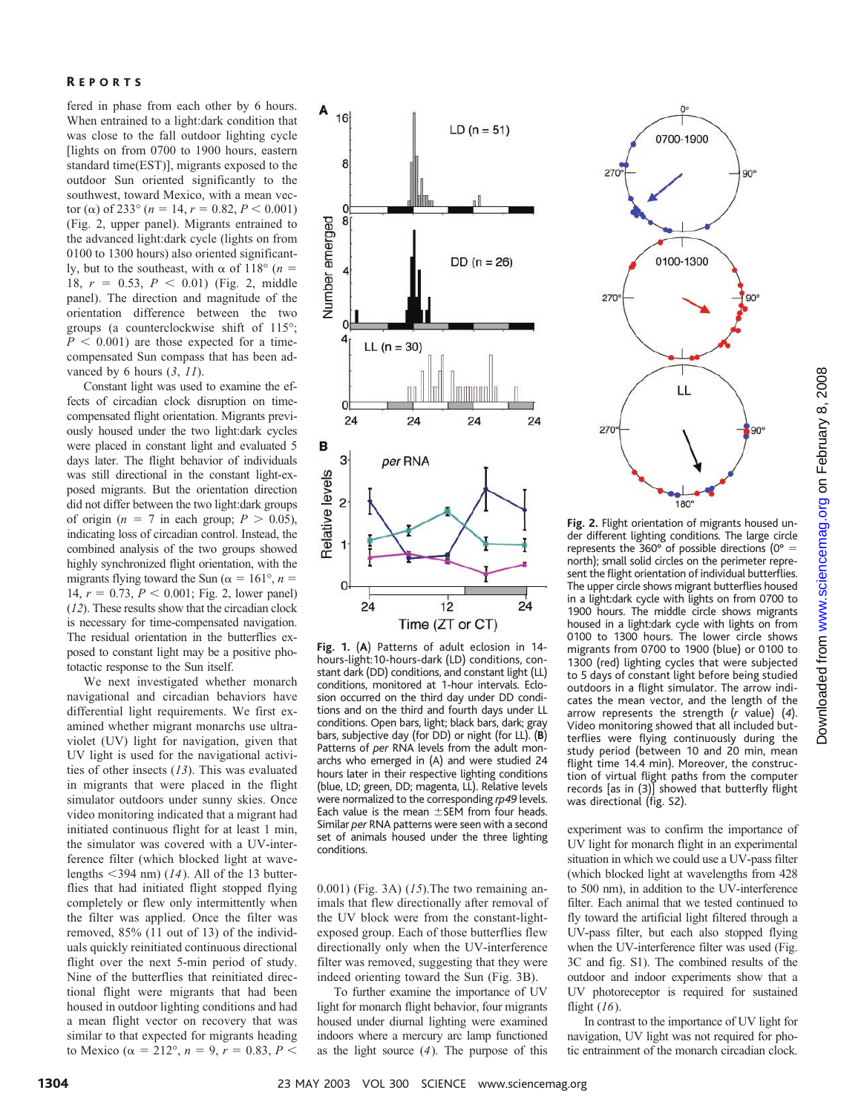fered in phase from each other by 6 hours. When entrained to a light:dark condition that was close to the fall outdoor lighting cycle [lights on from 0700 to 1900 hours, eastern standard time(EST)], migrants exposed to the outdoor Sun oriented significantly to the southwest, toward Mexico, with a mean vector ( $\alpha$ ) of 233° ( $n = 14$ ,  $r = 0.82$ ,  $P < 0.001$ ) (Fig. 2, upper panel). Migrants entrained to the advanced light:dark cycle (lights on from 0100 to 1300 hours) also oriented significantly, but to the southeast, with  $\alpha$  of 118° (*n* = 18,  $r = 0.53$ ,  $P < 0.01$ ) (Fig. 2, middle panel). The direction and magnitude of the orientation difference between the two groups (a counterclockwise shift of 115°;  $P < 0.001$ ) are those expected for a timecompensated Sun compass that has been advanced by 6 hours (*3*, *11*).

Constant light was used to examine the effects of circadian clock disruption on timecompensated flight orientation. Migrants previously housed under the two light:dark cycles were placed in constant light and evaluated 5 days later. The flight behavior of individuals was still directional in the constant light-exposed migrants. But the orientation direction did not differ between the two light:dark groups of origin ( $n = 7$  in each group;  $P > 0.05$ ), indicating loss of circadian control. Instead, the combined analysis of the two groups showed highly synchronized flight orientation, with the migrants flying toward the Sun ( $\alpha = 161^{\circ}$ ,  $n =$ 14,  $r = 0.73$ ,  $P < 0.001$ ; Fig. 2, lower panel) (*12*). These results show that the circadian clock is necessary for time-compensated navigation. The residual orientation in the butterflies exposed to constant light may be a positive phototactic response to the Sun itself.

We next investigated whether monarch navigational and circadian behaviors have differential light requirements. We first examined whether migrant monarchs use ultraviolet (UV) light for navigation, given that UV light is used for the navigational activities of other insects (*13*). This was evaluated in migrants that were placed in the flight simulator outdoors under sunny skies. Once video monitoring indicated that a migrant had initiated continuous flight for at least 1 min, the simulator was covered with a UV-interference filter (which blocked light at wavelengths 394 nm) (*14*). All of the 13 butterflies that had initiated flight stopped flying completely or flew only intermittently when the filter was applied. Once the filter was removed, 85% (11 out of 13) of the individuals quickly reinitiated continuous directional flight over the next 5-min period of study. Nine of the butterflies that reinitiated directional flight were migrants that had been housed in outdoor lighting conditions and had a mean flight vector on recovery that was similar to that expected for migrants heading to Mexico ( $\alpha = 212^{\circ}, n = 9, r = 0.83, P <$ 



**Fig.1.** (**A**) Patterns of adult eclosion in 14 hours-light:10-hours-dark (LD) conditions, constant dark (DD) conditions, and constant light (LL) conditions, monitored at 1-hour intervals. Eclosion occurred on the third day under DD conditions and on the third and fourth days under LL conditions. Open bars, light; black bars, dark; gray bars, subjective day (for DD) or night (for LL). (**B**) Patterns of *per* RNA levels from the adult monarchs who emerged in (A) and were studied 24 hours later in their respective lighting conditions (blue, LD; green, DD; magenta, LL). Relative levels were normalized to the corresponding *rp49* levels. Each value is the mean  $\pm$ SEM from four heads. Similar *per* RNA patterns were seen with a second set of animals housed under the three lighting conditions.

0.001) (Fig. 3A) (*15*).The two remaining animals that flew directionally after removal of the UV block were from the constant-lightexposed group. Each of those butterflies flew directionally only when the UV-interference filter was removed, suggesting that they were indeed orienting toward the Sun (Fig. 3B).

To further examine the importance of UV light for monarch flight behavior, four migrants housed under diurnal lighting were examined indoors where a mercury arc lamp functioned as the light source (*4*). The purpose of this



**Fig.2.** Flight orientation of migrants housed under different lighting conditions. The large circle represents the 360° of possible directions (0°  $=$ north); small solid circles on the perimeter represent the flight orientation of individual butterflies. The upper circle shows migrant butterflies housed in a light:dark cycle with lights on from 0700 to 1900 hours. The middle circle shows migrants housed in a light:dark cycle with lights on from 0100 to 1300 hours. The lower circle shows migrants from 0700 to 1900 (blue) or 0100 to 1300 (red) lighting cycles that were subjected to 5 days of constant light before being studied outdoors in a flight simulator. The arrow indicates the mean vector, and the length of the arrow represents the strength (*r* value) (*4*). Video monitoring showed that all included butterflies were flying continuously during the study period (between 10 and 20 min, mean flight time 14.4 min). Moreover, the construction of virtual flight paths from the computer records [as in (3)] showed that butterfly flight was directional (fig. S2).

experiment was to confirm the importance of UV light for monarch flight in an experimental situation in which we could use a UV-pass filter (which blocked light at wavelengths from 428 to 500 nm), in addition to the UV-interference filter. Each animal that we tested continued to fly toward the artificial light filtered through a UV-pass filter, but each also stopped flying when the UV-interference filter was used (Fig. 3C and fig. S1). The combined results of the outdoor and indoor experiments show that a UV photoreceptor is required for sustained flight (*16*).

In contrast to the importance of UV light for navigation, UV light was not required for photic entrainment of the monarch circadian clock.